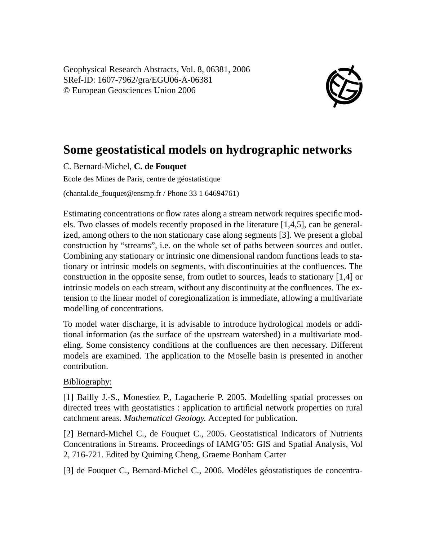Geophysical Research Abstracts, Vol. 8, 06381, 2006 SRef-ID: 1607-7962/gra/EGU06-A-06381 © European Geosciences Union 2006



## **Some geostatistical models on hydrographic networks**

C. Bernard-Michel, **C. de Fouquet**

Ecole des Mines de Paris, centre de géostatistique

(chantal.de\_fouquet@ensmp.fr / Phone 33 1 64694761)

Estimating concentrations or flow rates along a stream network requires specific models. Two classes of models recently proposed in the literature [1,4,5], can be generalized, among others to the non stationary case along segments [3]. We present a global construction by "streams", i.e. on the whole set of paths between sources and outlet. Combining any stationary or intrinsic one dimensional random functions leads to stationary or intrinsic models on segments, with discontinuities at the confluences. The construction in the opposite sense, from outlet to sources, leads to stationary [1,4] or intrinsic models on each stream, without any discontinuity at the confluences. The extension to the linear model of coregionalization is immediate, allowing a multivariate modelling of concentrations.

To model water discharge, it is advisable to introduce hydrological models or additional information (as the surface of the upstream watershed) in a multivariate modeling. Some consistency conditions at the confluences are then necessary. Different models are examined. The application to the Moselle basin is presented in another contribution.

## Bibliography:

[1] Bailly J.-S., Monestiez P., Lagacherie P. 2005. Modelling spatial processes on directed trees with geostatistics : application to artificial network properties on rural catchment areas. *Mathematical Geology.* Accepted for publication.

[2] Bernard-Michel C., de Fouquet C., 2005. Geostatistical Indicators of Nutrients Concentrations in Streams. Proceedings of IAMG'05: GIS and Spatial Analysis, Vol 2, 716-721. Edited by Quiming Cheng, Graeme Bonham Carter

[3] de Fouquet C., Bernard-Michel C., 2006. Modèles géostatistiques de concentra-